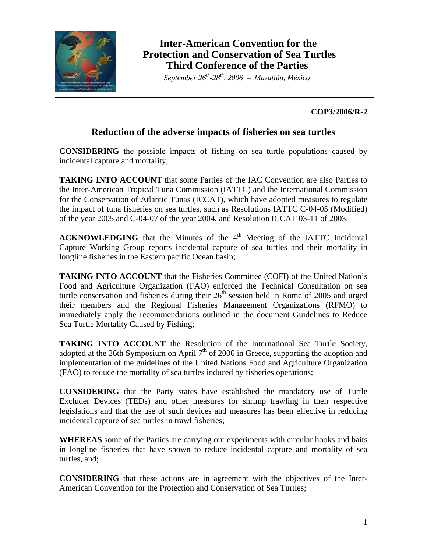

# **Inter-American Convention for the Protection and Conservation of Sea Turtles Third Conference of the Parties**

 *September 26th-28th, 2006 – Mazatlán, México* 

### **COP3/2006/R-2**

### **Reduction of the adverse impacts of fisheries on sea turtles**

**CONSIDERING** the possible impacts of fishing on sea turtle populations caused by incidental capture and mortality;

**TAKING INTO ACCOUNT** that some Parties of the IAC Convention are also Parties to the Inter-American Tropical Tuna Commission (IATTC) and the International Commission for the Conservation of Atlantic Tunas (ICCAT), which have adopted measures to regulate the impact of tuna fisheries on sea turtles, such as Resolutions IATTC C-04-05 (Modified) of the year 2005 and C-04-07 of the year 2004, and Resolution ICCAT 03-11 of 2003.

 $ACKNOWLEDGING$  that the Minutes of the  $4<sup>th</sup>$  Meeting of the IATTC Incidental Capture Working Group reports incidental capture of sea turtles and their mortality in longline fisheries in the Eastern pacific Ocean basin;

**TAKING INTO ACCOUNT** that the Fisheries Committee (COFI) of the United Nation's Food and Agriculture Organization (FAO) enforced the Technical Consultation on sea turtle conservation and fisheries during their  $26<sup>th</sup>$  session held in Rome of 2005 and urged their members and the Regional Fisheries Management Organizations (RFMO) to immediately apply the recommendations outlined in the document Guidelines to Reduce Sea Turtle Mortality Caused by Fishing;

**TAKING INTO ACCOUNT** the Resolution of the International Sea Turtle Society, adopted at the 26th Symposium on April  $7<sup>th</sup>$  of 2006 in Greece, supporting the adoption and implementation of the guidelines of the United Nations Food and Agriculture Organization (FAO) to reduce the mortality of sea turtles induced by fisheries operations;

**CONSIDERING** that the Party states have established the mandatory use of Turtle Excluder Devices (TEDs) and other measures for shrimp trawling in their respective legislations and that the use of such devices and measures has been effective in reducing incidental capture of sea turtles in trawl fisheries;

**WHEREAS** some of the Parties are carrying out experiments with circular hooks and baits in longline fisheries that have shown to reduce incidental capture and mortality of sea turtles, and;

**CONSIDERING** that these actions are in agreement with the objectives of the Inter-American Convention for the Protection and Conservation of Sea Turtles;